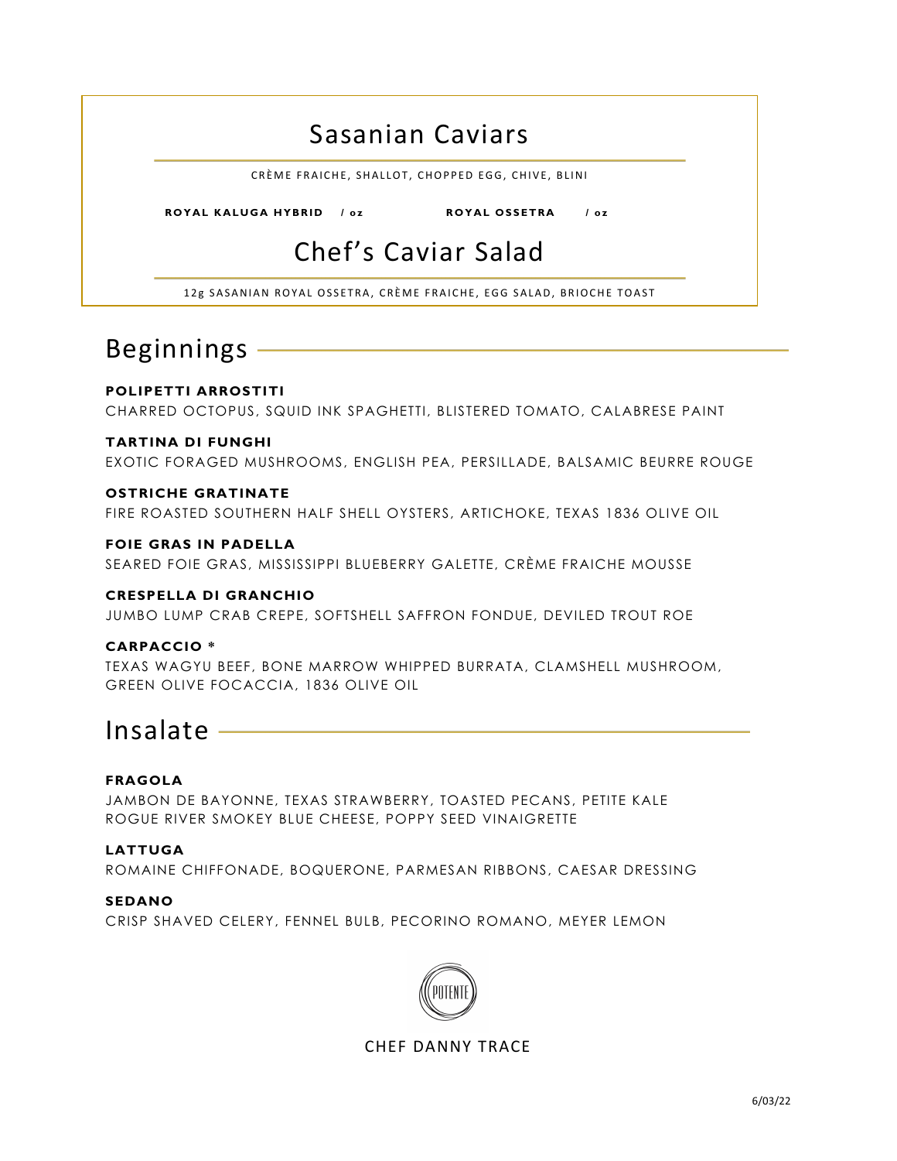### Sasanian Caviars

CRÈME FRAICHE, SHALLOT, CHOPPED EGG, CHIVE, BLINI

 **ROYAL KALUGA HYBRID / oz ROYAL OSSETRA / o z**

# Chef's Caviar Salad

12g SASANIAN ROYAL OSSETRA, CRÈME FRAICHE, EGG SALAD, BRIOCHE TOAST

## Beginnings

Ī

#### **POLIPETTI ARROSTITI** CHARRED OCTOPUS, SQUID INK SPAGHETTI, BLISTERED TOMATO, CALABRESE PAINT

#### **TARTINA DI FUNGHI**

EXOTIC FORAGED MUSHROOMS, ENGLISH PEA, PERSILLADE, BALSAMIC BEURRE ROUGE

#### **OSTRICHE GRATINATE**

FIRE ROASTED SOUTHERN HALF SHELL OYSTERS, ARTICHOKE, TEXAS 1836 OLIVE OIL

#### **FOIE GRAS IN PADELLA**

SEARED FOIE GRAS, MISSISSIPPI BLUEBERRY GALETTE, CRÈME FRAICHE MOUSSE

#### **CRESPELLA DI GRANCHIO**

JUMBO LUMP CRAB CREPE, SOFTSHELL SAFFRON FONDUE, DEVILED TROUT ROE

#### **CARPACCIO \***

TEXAS WAGYU BEEF, BONE MARROW WHIPPED BURRATA, CLAMSHELL MUSHROOM, GREEN OLIVE FOCACCIA, 1836 OLIVE OIL

### Insalate

#### **FRAGOLA**

JAMBON DE BAYONNE, TEXAS STRAWBERRY, TOASTED PECANS, PETITE KALE ROGUE RIVER SMOKEY BLUE CHEESE, POPPY SEED VINAIGRETTE

#### **LATTUGA**

ROMAINE CHIFFONADE, BOQUERONE, PARMESAN RIBBONS, CAESAR DRESSING

#### **SEDANO**

CRISP SHAVED CELERY, FENNEL BULB, PECORINO ROMANO, MEYER LEMON



CHEF DANNY TRACE